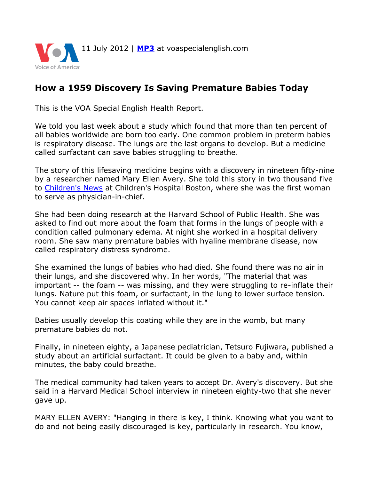

## **How a 1959 Discovery Is Saving Premature Babies Today**

This is the VOA Special English Health Report.

We told you last week about a study which found that more than ten percent of all babies worldwide are born too early. One common problem in preterm babies is respiratory disease. The lungs are the last organs to develop. But a medicine called surfactant can save babies struggling to breathe.

The story of this lifesaving medicine begins with a discovery in nineteen fifty-nine by a researcher named Mary Ellen Avery. She told this story in two thousand five to [Children's News](http://www.childrenshospital.org/chnews/07-01-05/avery.html) at Children's Hospital Boston, where she was the first woman to serve as physician-in-chief.

She had been doing research at the Harvard School of Public Health. She was asked to find out more about the foam that forms in the lungs of people with a condition called pulmonary edema. At night she worked in a hospital delivery room. She saw many premature babies with hyaline membrane disease, now called respiratory distress syndrome.

She examined the lungs of babies who had died. She found there was no air in their lungs, and she discovered why. In her words, "The material that was important -- the foam -- was missing, and they were struggling to re-inflate their lungs. Nature put this foam, or surfactant, in the lung to lower surface tension. You cannot keep air spaces inflated without it."

Babies usually develop this coating while they are in the womb, but many premature babies do not.

Finally, in nineteen eighty, a Japanese pediatrician, Tetsuro Fujiwara, published a study about an artificial surfactant. It could be given to a baby and, within minutes, the baby could breathe.

The medical community had taken years to accept Dr. Avery's discovery. But she said in a Harvard Medical School interview in nineteen eighty-two that she never gave up.

MARY ELLEN AVERY: "Hanging in there is key, I think. Knowing what you want to do and not being easily discouraged is key, particularly in research. You know,